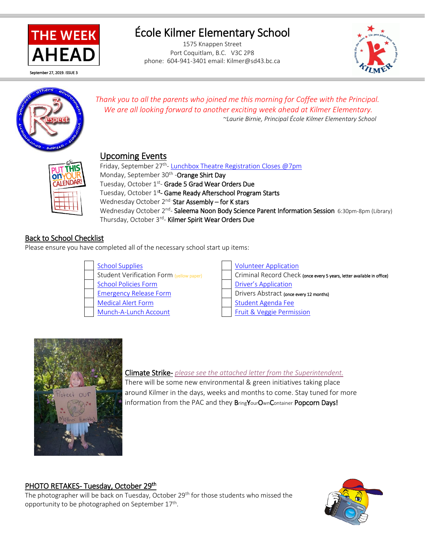

# École Kilmer Elementary School

1575 Knappen Street Port Coquitlam, B.C. V3C 2P8 phone: 604-941-3401 email: Kilmer@sd43.bc.ca





*Thank you to all the parents who joined me this morning for Coffee with the Principal. We are all looking forward to another exciting week ahead at Kilmer Elementary. ~Laurie Birnie, Principal École Kilmer Elementary School*

## Upcoming Events

**on** CALENDAR

Friday, September 27<sup>th</sup>- [Lunchbox Theatre Registration Closes @7pm](http://www.theatrixyoutheatre.com/) Monday, September 30<sup>th</sup> -**Orange Shirt Day** Tuesday, October 1<sup>st</sup>- Grade 5 Grad Wear Orders Due Tuesday, October 1<sup>st</sup>- Game Ready Afterschool Program Starts Wednesday October 2<sup>nd</sup> - Star Assembly – for K stars Wednesday October 2<sup>nd</sup>- Saleema Noon Body Science Parent Information Session 6:30pm-8pm (Library) Thursday, October 3<sup>rd</sup>- **Kilmer Spirit Wear Orders Due** 

### Back to School Checklist

Please ensure you have completed all of the necessary school start up items:

| <b>School Supplies</b>                   | <b>Volunteer Application</b>    |
|------------------------------------------|---------------------------------|
| Student Verification Form (yellow paper) | Criminal Record Check (ond      |
| <b>School Policies Form</b>              | <b>Driver's Application</b>     |
| <b>Emergency Release Form</b>            | Drivers Abstract (once every 12 |
| <b>Medical Alert Form</b>                | <b>Student Agenda Fee</b>       |
| Munch-A-Lunch Account                    | Fruit & Veggie Permission       |

| <b>School Supplies</b>                   | <b>Volunteer Application</b>                                           |
|------------------------------------------|------------------------------------------------------------------------|
| Student Verification Form (yellow paper) | Criminal Record Check (once every 5 years, letter available in office) |
| <b>School Policies Form</b>              | <b>Driver's Application</b>                                            |
| <b>Emergency Release Form</b>            | Drivers Abstract (once every 12 months)                                |
| <b>Medical Alert Form</b>                | Student Agenda Fee                                                     |
| Munch-A-Lunch Account                    | <b>Fruit &amp; Veggie Permission</b>                                   |



#### Climate Strike- *[please see the attached letter from the Superintendent.](http://www.sd43.bc.ca/school/kilmer/Documents/Superintendent%20Letter%20to%20Parents%20re%20Climate%20Strike%20Sept%2024%202019.pdf)*

There will be some new environmental & green initiatives taking place around Kilmer in the days, weeks and months to come. Stay tuned for more information from the PAC and they BringYourOwnContainer Popcorn Days!

#### PHOTO RETAKES- Tuesday, October 29th

The photographer will be back on Tuesday, October 29<sup>th</sup> for those students who missed the opportunity to be photographed on September 17<sup>th</sup>.

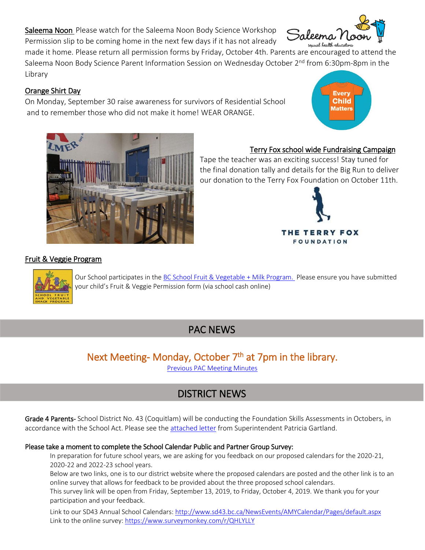Saleema Noon Please watch for the Saleema Noon Body Science Workshop Permission slip to be coming home in the next few days if it has not already

made it home. Please return all permission forms by Friday, October 4th. Parents are encouraged to attend the Saleema Noon Body Science Parent Information Session on Wednesday October 2<sup>nd</sup> from 6:30pm-8pm in the Library

#### Orange Shirt Day

On Monday, September 30 raise awareness for survivors of Residential School and to remember those who did not make it home! WEAR ORANGE.

#### Terry Fox school wide Fundraising Campaign

THE TERRY FOX **FOUNDATION** 

Tape the teacher was an exciting success! Stay tuned for the final donation tally and details for the Big Run to deliver our donation to the Terry Fox Foundation on October 11th.

#### Fruit & Veggie Program

Our School participates in the [BC School Fruit & Vegetable](https://www.bcaitc.ca/bc-school-fruit-vegetable-nutritional-program) + Milk Program. Please ensure you have submitted your child's Fruit & Veggie Permission form (via school cash online)

## PAC NEWS

## Next Meeting- Monday, October 7<sup>th</sup> at 7pm in the library.

[Previous PAC Meeting Minutes](http://www.sd43.bc.ca/school/kilmer/Parents/PAC/PAC%20Agendas%20%20Minutes/KPAC%20minutes%20September%2016%202019.pdf) 

## DISTRICT NEWS

Grade 4 Parents- School District No. 43 (Coquitlam) will be conducting the Foundation Skills Assessments in Octobers, in accordance with the School Act. Please see th[e attached letter](http://www.sd43.bc.ca/school/kilmer/Documents/FSA%20Letter%20to%20Parents%20from%20Superintendent%20Sept%202019.pdf) from Superintendent Patricia Gartland.

#### Please take a moment to complete the School Calendar Public and Partner Group Survey:

In preparation for future school years, we are asking for you feedback on our proposed calendars for the 2020-21, 2020-22 and 2022-23 school years.

Below are two links, one is to our district website where the proposed calendars are posted and the other link is to an online survey that allows for feedback to be provided about the three proposed school calendars.

This survey link will be open from Friday, September 13, 2019, to Friday, October 4, 2019. We thank you for your participation and your feedback.

Link to our SD43 Annual School Calendars[: http://www.sd43.bc.ca/NewsEvents/AMYCalendar/Pages/default.aspx](http://www.sd43.bc.ca/NewsEvents/AMYCalendar/Pages/default.aspx) Link to the online survey:<https://www.surveymonkey.com/r/QHLYLLY>











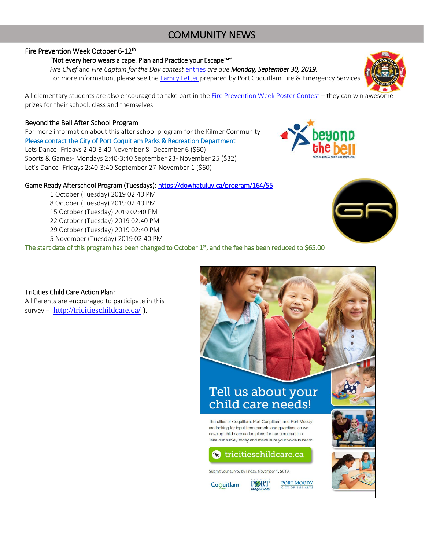## COMMUNITY NEWS

#### Fire Prevention Week October 6-12<sup>th</sup>

#### "Not every hero wears a cape. Plan and Practice your Escape™"

 *Fire Chief* and *Fire Captain for the Day contest* [entries](https://www.portcoquitlam.ca/fire-department-ballot/) *are due Monday, September 30, 2019.* For more information, please see the [Family Letter](http://www.portcoquitlam.ca/wp-content/uploads/2019/09/Letter-to-Family-2019.pdf) prepared by Port Coquitlam Fire & Emergency Services

All elementary students are also encouraged to take part in th[e Fire Prevention Week Poster Contest](https://www2.gov.bc.ca/assets/gov/public-safety-and-emergency-services/emergency-preparedness-response-recovery/embc/fire-safety/fire-prevention-week/fire_prevention_week_2019_letter_to_schools_and_families.pdf) – they can win awesome prizes for their school, class and themselves.

#### Beyond the Bell After School Program

For more information about this after school program for the Kilmer Community Please contact the City of Port Coquitlam Parks & Recreation Department Lets Dance- Fridays 2:40-3:40 November 8- December 6 (\$60) Sports & Games- Mondays 2:40-3:40 September 23- November 25 (\$32) Let's Dance- Fridays 2:40-3:40 September 27-November 1 (\$60)

#### Game Ready Afterschool Program (Tuesdays): https://dowhatuluv.ca/program/164/55

1 October (Tuesday) 2019 02:40 PM 8 October (Tuesday) 2019 02:40 PM 15 October (Tuesday) 2019 02:40 PM 22 October (Tuesday) 2019 02:40 PM 29 October (Tuesday) 2019 02:40 PM 5 November (Tuesday) 2019 02:40 PM

The start date of this program has been changed to October 1<sup>st</sup>, and the fee has been reduced to \$65.00

TriCities Child Care Action Plan:

All Parents are encouraged to participate in this survey – <http://tricitieschildcare.ca/>).